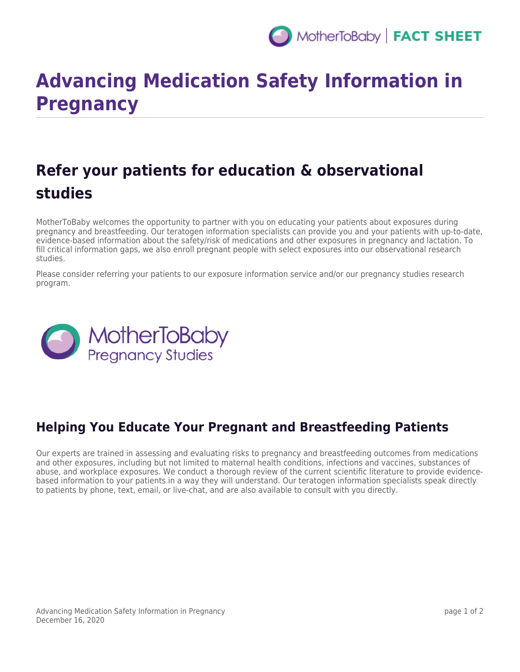

# **Advancing Medication Safety Information in Pregnancy**

## **Refer your patients for education & observational studies**

MotherToBaby welcomes the opportunity to partner with you on educating your patients about exposures during pregnancy and breastfeeding. Our teratogen information specialists can provide you and your patients with up-to-date, evidence-based information about the safety/risk of medications and other exposures in pregnancy and lactation. To fill critical information gaps, we also enroll pregnant people with select exposures into our observational research studies.

Please consider referring your patients to our exposure information service and/or our pregnancy studies research program.



### **Helping You Educate Your Pregnant and Breastfeeding Patients**

Our experts are trained in assessing and evaluating risks to pregnancy and breastfeeding outcomes from medications and other exposures, including but not limited to maternal health conditions, infections and vaccines, substances of abuse, and workplace exposures. We conduct a thorough review of the current scientific literature to provide evidencebased information to your patients in a way they will understand. Our teratogen information specialists speak directly to patients by phone, text, email, or live-chat, and are also available to consult with you directly.